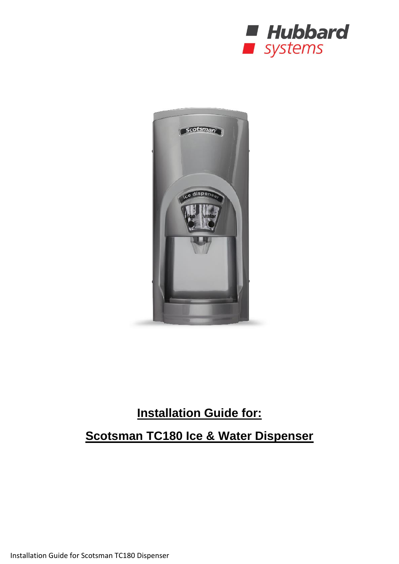



# **Installation Guide for:**

## **Scotsman TC180 Ice & Water Dispenser**

Installation Guide for Scotsman TC180 Dispenser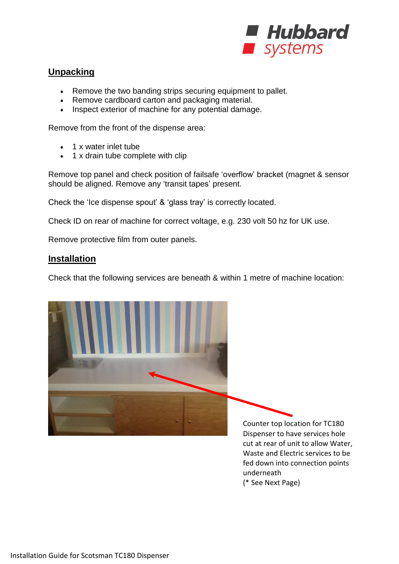

## **Unpacking**

- Remove the two banding strips securing equipment to pallet.
- Remove cardboard carton and packaging material.
- Inspect exterior of machine for any potential damage.

Remove from the front of the dispense area:

- 1 x water inlet tube
- 1 x drain tube complete with clip

Remove top panel and check position of failsafe 'overflow' bracket (magnet & sensor should be aligned. Remove any 'transit tapes' present.

Check the 'Ice dispense spout' & 'glass tray' is correctly located.

Check ID on rear of machine for correct voltage, e.g. 230 volt 50 hz for UK use.

Remove protective film from outer panels.

#### **Installation**

Check that the following services are beneath & within 1 metre of machine location:



Dispenser to have services hole cut at rear of unit to allow Water, Waste and Electric services to be fed down into connection points underneath (\* See Next Page)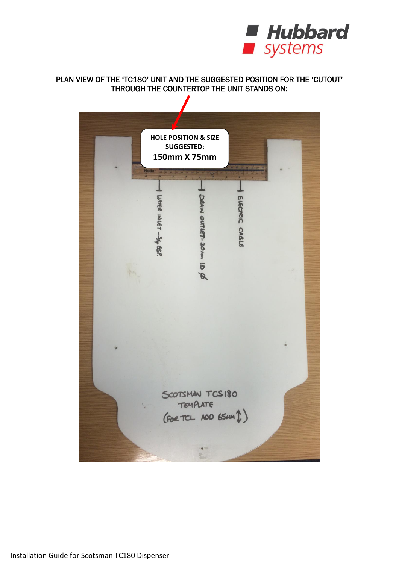

#### PLAN VIEW OF THE 'TC180' UNIT AND THE SUGGESTED POSITION FOR THE 'CUTOUT' THROUGH THE COUNTERTOP THE UNIT STANDS ON:

 $\mathbf{r}$ 

| <b>HOLE POSITION &amp; SIZE</b><br><b>SUGGESTED:</b><br>150mm X 75mm<br><b>Melix</b> |                                                                           |                |  |
|--------------------------------------------------------------------------------------|---------------------------------------------------------------------------|----------------|--|
| $\overline{\boldsymbol{H}}$<br>WIER INLET-34 BSP.                                    | DRAIN OUTLET-20 NA ID Ø                                                   | ELECTRIC CABLE |  |
|                                                                                      |                                                                           |                |  |
|                                                                                      | SCOTSMAN TCS180<br>TEMPLATE<br>$(foot$ TCL AOD 65MM $1)$<br>$\frac{p}{m}$ |                |  |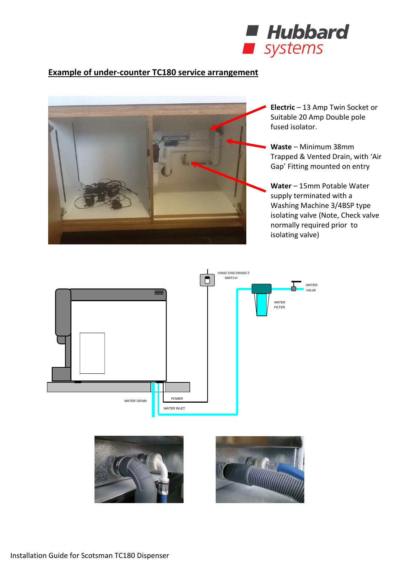

## **Example of under-counter TC180 service arrangement**



**Electric** – 13 Amp Twin Socket or Suitable 20 Amp Double pole fused isolator.

**Waste** – Minimum 38mm Trapped & Vented Drain, with 'Air Gap' Fitting mounted on entry

**Water** – 15mm Potable Water supply terminated with a Washing Machine 3/4BSP type isolating valve (Note, Check valve normally required prior to isolating valve)



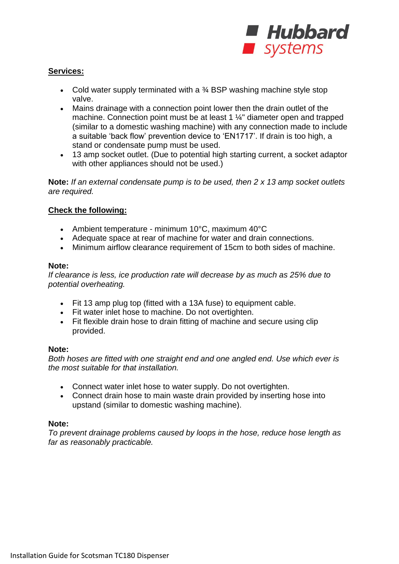

#### **Services:**

- Cold water supply terminated with a  $\frac{3}{4}$  BSP washing machine style stop valve.
- Mains drainage with a connection point lower then the drain outlet of the machine. Connection point must be at least 1 ¼" diameter open and trapped (similar to a domestic washing machine) with any connection made to include a suitable 'back flow' prevention device to 'EN1717'. If drain is too high, a stand or condensate pump must be used.
- 13 amp socket outlet. (Due to potential high starting current, a socket adaptor with other appliances should not be used.)

**Note:** *If an external condensate pump is to be used, then 2 x 13 amp socket outlets are required.*

#### **Check the following:**

- Ambient temperature minimum 10°C, maximum 40°C
- Adequate space at rear of machine for water and drain connections.
- Minimum airflow clearance requirement of 15cm to both sides of machine.

#### **Note:**

*If clearance is less, ice production rate will decrease by as much as 25% due to potential overheating.*

- Fit 13 amp plug top (fitted with a 13A fuse) to equipment cable.
- Fit water inlet hose to machine. Do not overtighten.
- Fit flexible drain hose to drain fitting of machine and secure using clip provided.

#### **Note:**

*Both hoses are fitted with one straight end and one angled end. Use which ever is the most suitable for that installation.*

- Connect water inlet hose to water supply. Do not overtighten.
- Connect drain hose to main waste drain provided by inserting hose into upstand (similar to domestic washing machine).

#### **Note:**

*To prevent drainage problems caused by loops in the hose, reduce hose length as far as reasonably practicable.*